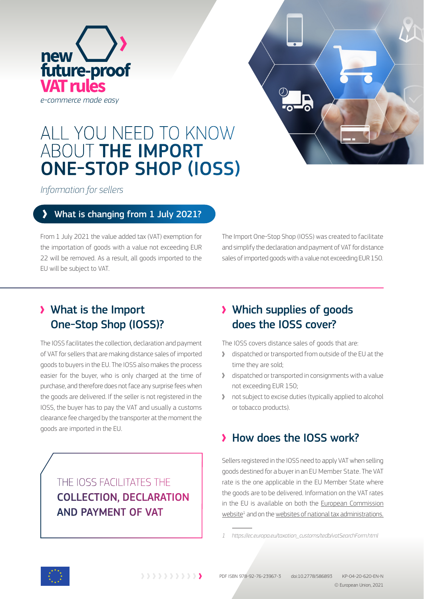



# ALL YOU NEED TO KNOW ABOUT THE IMPORT ONE-STOP SHOP (IOSS)

*Information for sellers*

#### What is changing from 1 July 2021?

From 1 July 2021 the value added tax (VAT) exemption for the importation of goods with a value not exceeding EUR 22 will be removed. As a result, all goods imported to the EU will be subject to VAT.

The Import One-Stop Shop (IOSS) was created to facilitate and simplify the declaration and payment of VAT for distance sales of imported goods with a value not exceeding EUR 150.

### What is the Import One-Stop Shop (IOSS)?

The IOSS facilitates the collection, declaration and payment of VAT for sellers that are making distance sales of imported goods to buyers in the EU. The IOSS also makes the process easier for the buyer, who is only charged at the time of purchase, and therefore does not face any surprise fees when the goods are delivered. If the seller is not registered in the IOSS, the buyer has to pay the VAT and usually a customs clearance fee charged by the transporter at the moment the goods are imported in the EU.

> THE IOSS FACILITATES THE COLLECTION, DECLARATION AND PAYMENT OF VAT

### Which supplies of goods does the IOSS cover?

The IOSS covers distance sales of goods that are:

- dispatched or transported from outside of the EU at the time they are sold;
- dispatched or transported in consignments with a value not exceeding EUR 150;
- not subject to excise duties (typically applied to alcohol or tobacco products).

## How does the IOSS work?

Sellers registered in the IOSS need to apply VAT when selling goods destined for a buyer in an EU Member State. The VAT rate is the one applicable in the EU Member State where the goods are to be delivered. Information on the VAT rates in the EU is available on both the European Commission website<sup>1</sup> and on the websites of national tax administrations.



*<sup>1</sup> https://ec.europa.eu/taxation\_customs/tedb/vatSearchForm.html*